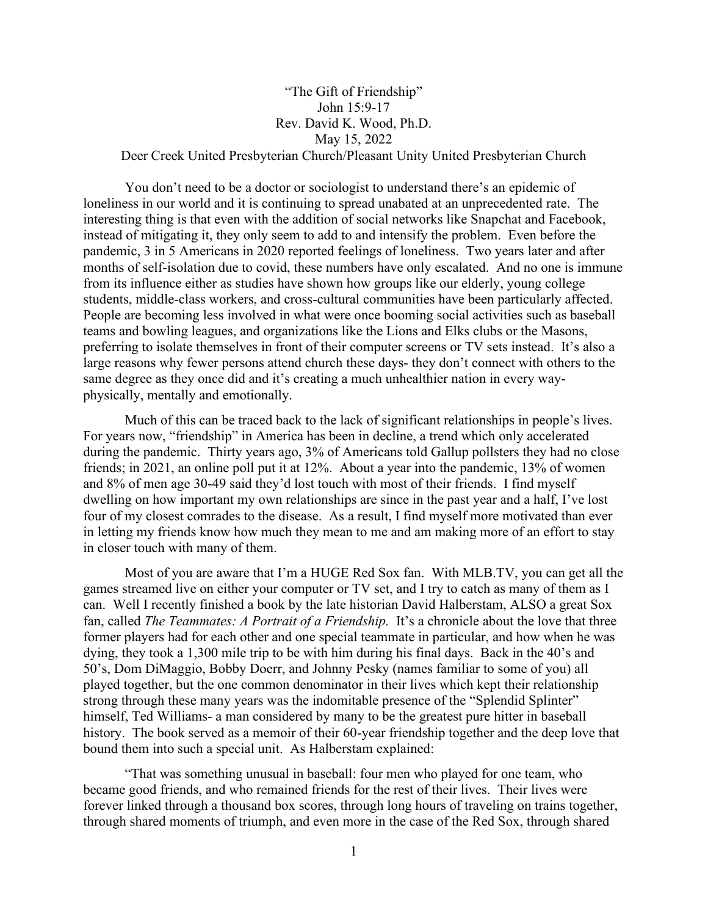## "The Gift of Friendship" John 15:9-17 Rev. David K. Wood, Ph.D. May 15, 2022 Deer Creek United Presbyterian Church/Pleasant Unity United Presbyterian Church

You don't need to be a doctor or sociologist to understand there's an epidemic of loneliness in our world and it is continuing to spread unabated at an unprecedented rate. The interesting thing is that even with the addition of social networks like Snapchat and Facebook, instead of mitigating it, they only seem to add to and intensify the problem. Even before the pandemic, 3 in 5 Americans in 2020 reported feelings of loneliness. Two years later and after months of self-isolation due to covid, these numbers have only escalated. And no one is immune from its influence either as studies have shown how groups like our elderly, young college students, middle-class workers, and cross-cultural communities have been particularly affected. People are becoming less involved in what were once booming social activities such as baseball teams and bowling leagues, and organizations like the Lions and Elks clubs or the Masons, preferring to isolate themselves in front of their computer screens or TV sets instead. It's also a large reasons why fewer persons attend church these days- they don't connect with others to the same degree as they once did and it's creating a much unhealthier nation in every wayphysically, mentally and emotionally.

Much of this can be traced back to the lack of significant relationships in people's lives. For years now, "friendship" in America has been in decline, a trend which only accelerated during the pandemic. Thirty years ago, 3% of Americans told Gallup pollsters they had no close friends; in 2021, an online poll put it at 12%. About a year into the pandemic, 13% of women and 8% of men age 30-49 said they'd lost touch with most of their friends. I find myself dwelling on how important my own relationships are since in the past year and a half, I've lost four of my closest comrades to the disease. As a result, I find myself more motivated than ever in letting my friends know how much they mean to me and am making more of an effort to stay in closer touch with many of them.

Most of you are aware that I'm a HUGE Red Sox fan. With MLB.TV, you can get all the games streamed live on either your computer or TV set, and I try to catch as many of them as I can. Well I recently finished a book by the late historian David Halberstam, ALSO a great Sox fan, called *The Teammates: A Portrait of a Friendship.* It's a chronicle about the love that three former players had for each other and one special teammate in particular, and how when he was dying, they took a 1,300 mile trip to be with him during his final days. Back in the 40's and 50's, Dom DiMaggio, Bobby Doerr, and Johnny Pesky (names familiar to some of you) all played together, but the one common denominator in their lives which kept their relationship strong through these many years was the indomitable presence of the "Splendid Splinter" himself, Ted Williams- a man considered by many to be the greatest pure hitter in baseball history. The book served as a memoir of their 60-year friendship together and the deep love that bound them into such a special unit. As Halberstam explained:

"That was something unusual in baseball: four men who played for one team, who became good friends, and who remained friends for the rest of their lives. Their lives were forever linked through a thousand box scores, through long hours of traveling on trains together, through shared moments of triumph, and even more in the case of the Red Sox, through shared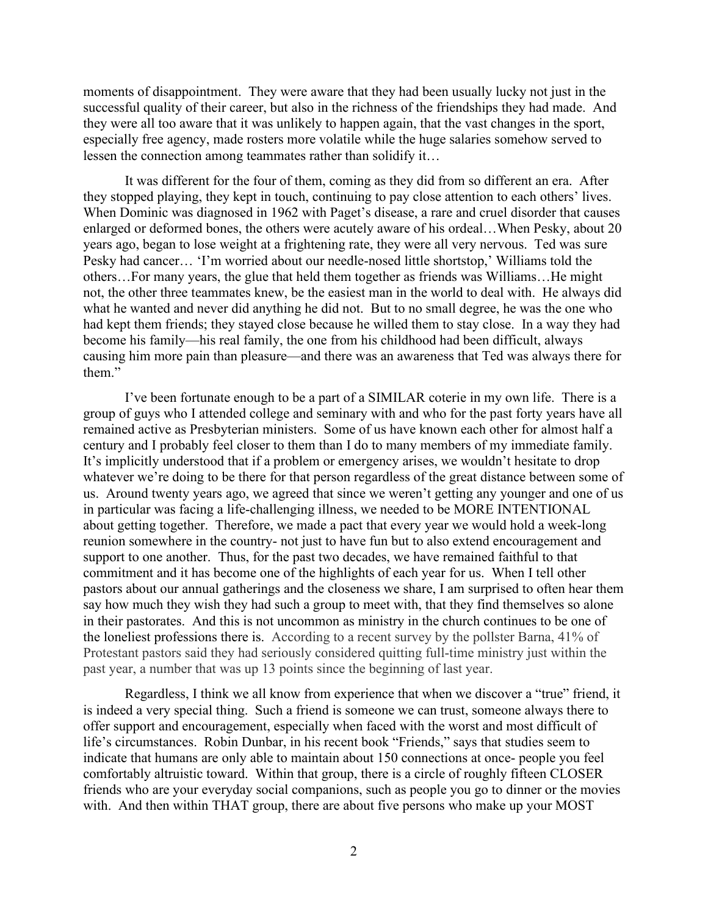moments of disappointment. They were aware that they had been usually lucky not just in the successful quality of their career, but also in the richness of the friendships they had made. And they were all too aware that it was unlikely to happen again, that the vast changes in the sport, especially free agency, made rosters more volatile while the huge salaries somehow served to lessen the connection among teammates rather than solidify it…

It was different for the four of them, coming as they did from so different an era. After they stopped playing, they kept in touch, continuing to pay close attention to each others' lives. When Dominic was diagnosed in 1962 with Paget's disease, a rare and cruel disorder that causes enlarged or deformed bones, the others were acutely aware of his ordeal…When Pesky, about 20 years ago, began to lose weight at a frightening rate, they were all very nervous. Ted was sure Pesky had cancer… 'I'm worried about our needle-nosed little shortstop,' Williams told the others…For many years, the glue that held them together as friends was Williams…He might not, the other three teammates knew, be the easiest man in the world to deal with. He always did what he wanted and never did anything he did not. But to no small degree, he was the one who had kept them friends; they stayed close because he willed them to stay close. In a way they had become his family—his real family, the one from his childhood had been difficult, always causing him more pain than pleasure—and there was an awareness that Ted was always there for them."

I've been fortunate enough to be a part of a SIMILAR coterie in my own life. There is a group of guys who I attended college and seminary with and who for the past forty years have all remained active as Presbyterian ministers. Some of us have known each other for almost half a century and I probably feel closer to them than I do to many members of my immediate family. It's implicitly understood that if a problem or emergency arises, we wouldn't hesitate to drop whatever we're doing to be there for that person regardless of the great distance between some of us. Around twenty years ago, we agreed that since we weren't getting any younger and one of us in particular was facing a life-challenging illness, we needed to be MORE INTENTIONAL about getting together. Therefore, we made a pact that every year we would hold a week-long reunion somewhere in the country- not just to have fun but to also extend encouragement and support to one another. Thus, for the past two decades, we have remained faithful to that commitment and it has become one of the highlights of each year for us. When I tell other pastors about our annual gatherings and the closeness we share, I am surprised to often hear them say how much they wish they had such a group to meet with, that they find themselves so alone in their pastorates. And this is not uncommon as ministry in the church continues to be one of the loneliest professions there is. According to a recent survey by the pollster Barna, 41% of Protestant pastors said they had seriously considered quitting full-time ministry just within the past year, a number that was up 13 points since the beginning of last year.

Regardless, I think we all know from experience that when we discover a "true" friend, it is indeed a very special thing. Such a friend is someone we can trust, someone always there to offer support and encouragement, especially when faced with the worst and most difficult of life's circumstances. Robin Dunbar, in his recent book "Friends," says that studies seem to indicate that humans are only able to maintain about 150 connections at once- people you feel comfortably altruistic toward. Within that group, there is a circle of roughly fifteen CLOSER friends who are your everyday social companions, such as people you go to dinner or the movies with. And then within THAT group, there are about five persons who make up your MOST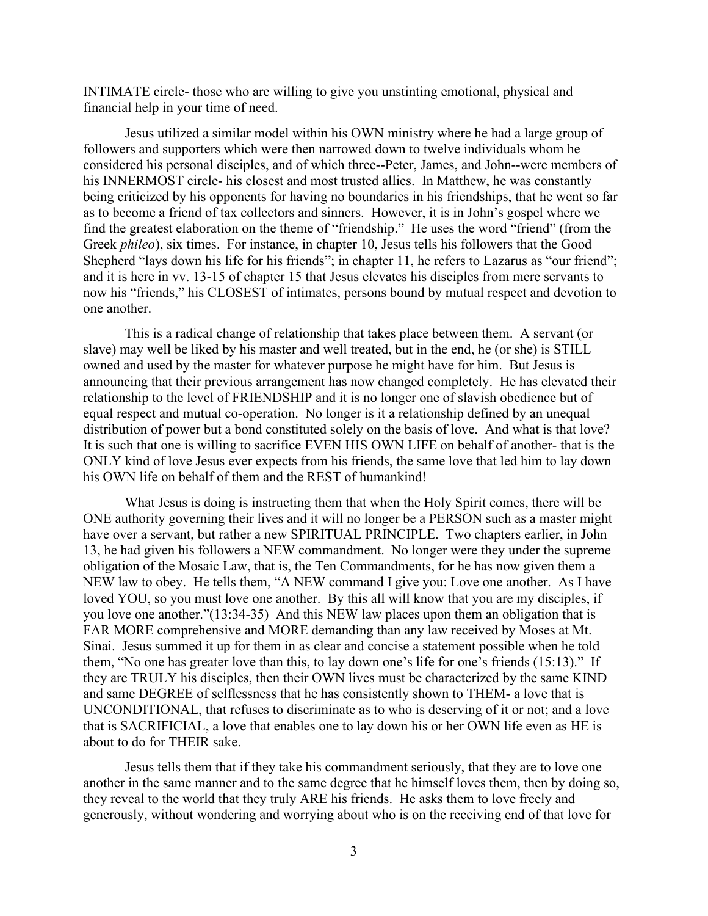INTIMATE circle- those who are willing to give you unstinting emotional, physical and financial help in your time of need.

Jesus utilized a similar model within his OWN ministry where he had a large group of followers and supporters which were then narrowed down to twelve individuals whom he considered his personal disciples, and of which three--Peter, James, and John--were members of his INNERMOST circle- his closest and most trusted allies. In Matthew, he was constantly being criticized by his opponents for having no boundaries in his friendships, that he went so far as to become a friend of tax collectors and sinners. However, it is in John's gospel where we find the greatest elaboration on the theme of "friendship." He uses the word "friend" (from the Greek *phileo*), six times. For instance, in chapter 10, Jesus tells his followers that the Good Shepherd "lays down his life for his friends"; in chapter 11, he refers to Lazarus as "our friend"; and it is here in vv. 13-15 of chapter 15 that Jesus elevates his disciples from mere servants to now his "friends," his CLOSEST of intimates, persons bound by mutual respect and devotion to one another.

This is a radical change of relationship that takes place between them. A servant (or slave) may well be liked by his master and well treated, but in the end, he (or she) is STILL owned and used by the master for whatever purpose he might have for him. But Jesus is announcing that their previous arrangement has now changed completely. He has elevated their relationship to the level of FRIENDSHIP and it is no longer one of slavish obedience but of equal respect and mutual co-operation. No longer is it a relationship defined by an unequal distribution of power but a bond constituted solely on the basis of love. And what is that love? It is such that one is willing to sacrifice EVEN HIS OWN LIFE on behalf of another- that is the ONLY kind of love Jesus ever expects from his friends, the same love that led him to lay down his OWN life on behalf of them and the REST of humankind!

What Jesus is doing is instructing them that when the Holy Spirit comes, there will be ONE authority governing their lives and it will no longer be a PERSON such as a master might have over a servant, but rather a new SPIRITUAL PRINCIPLE. Two chapters earlier, in John 13, he had given his followers a NEW commandment. No longer were they under the supreme obligation of the Mosaic Law, that is, the Ten Commandments, for he has now given them a NEW law to obey. He tells them, "A NEW command I give you: Love one another. As I have loved YOU, so you must love one another. By this all will know that you are my disciples, if you love one another."(13:34-35) And this NEW law places upon them an obligation that is FAR MORE comprehensive and MORE demanding than any law received by Moses at Mt. Sinai. Jesus summed it up for them in as clear and concise a statement possible when he told them, "No one has greater love than this, to lay down one's life for one's friends (15:13)." If they are TRULY his disciples, then their OWN lives must be characterized by the same KIND and same DEGREE of selflessness that he has consistently shown to THEM- a love that is UNCONDITIONAL, that refuses to discriminate as to who is deserving of it or not; and a love that is SACRIFICIAL, a love that enables one to lay down his or her OWN life even as HE is about to do for THEIR sake.

Jesus tells them that if they take his commandment seriously, that they are to love one another in the same manner and to the same degree that he himself loves them, then by doing so, they reveal to the world that they truly ARE his friends. He asks them to love freely and generously, without wondering and worrying about who is on the receiving end of that love for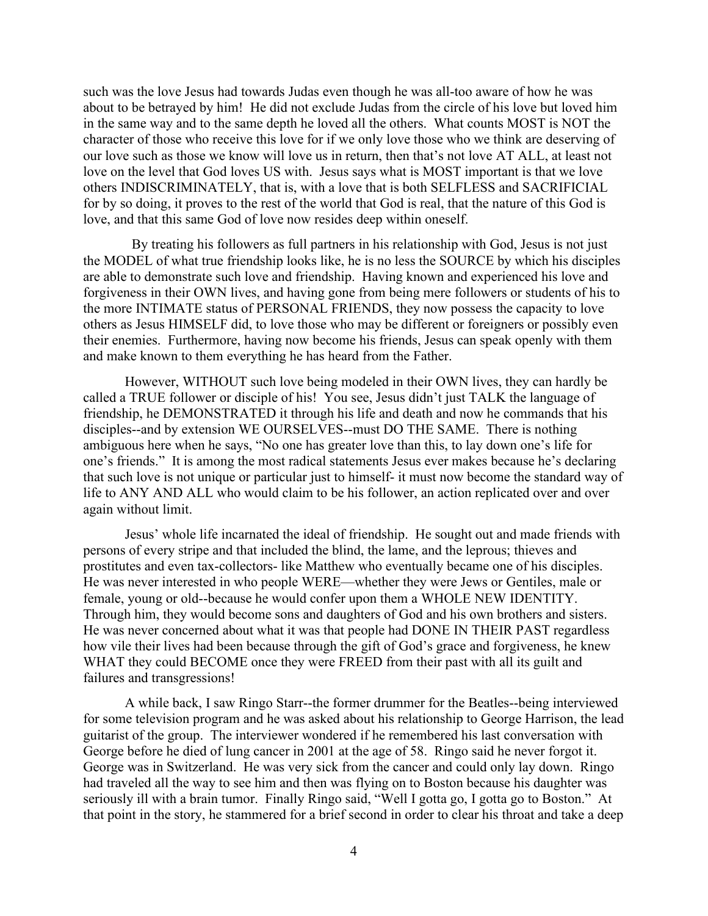such was the love Jesus had towards Judas even though he was all-too aware of how he was about to be betrayed by him! He did not exclude Judas from the circle of his love but loved him in the same way and to the same depth he loved all the others. What counts MOST is NOT the character of those who receive this love for if we only love those who we think are deserving of our love such as those we know will love us in return, then that's not love AT ALL, at least not love on the level that God loves US with. Jesus says what is MOST important is that we love others INDISCRIMINATELY, that is, with a love that is both SELFLESS and SACRIFICIAL for by so doing, it proves to the rest of the world that God is real, that the nature of this God is love, and that this same God of love now resides deep within oneself.

 By treating his followers as full partners in his relationship with God, Jesus is not just the MODEL of what true friendship looks like, he is no less the SOURCE by which his disciples are able to demonstrate such love and friendship. Having known and experienced his love and forgiveness in their OWN lives, and having gone from being mere followers or students of his to the more INTIMATE status of PERSONAL FRIENDS, they now possess the capacity to love others as Jesus HIMSELF did, to love those who may be different or foreigners or possibly even their enemies. Furthermore, having now become his friends, Jesus can speak openly with them and make known to them everything he has heard from the Father.

However, WITHOUT such love being modeled in their OWN lives, they can hardly be called a TRUE follower or disciple of his! You see, Jesus didn't just TALK the language of friendship, he DEMONSTRATED it through his life and death and now he commands that his disciples--and by extension WE OURSELVES--must DO THE SAME. There is nothing ambiguous here when he says, "No one has greater love than this, to lay down one's life for one's friends." It is among the most radical statements Jesus ever makes because he's declaring that such love is not unique or particular just to himself- it must now become the standard way of life to ANY AND ALL who would claim to be his follower, an action replicated over and over again without limit.

Jesus' whole life incarnated the ideal of friendship. He sought out and made friends with persons of every stripe and that included the blind, the lame, and the leprous; thieves and prostitutes and even tax-collectors- like Matthew who eventually became one of his disciples. He was never interested in who people WERE—whether they were Jews or Gentiles, male or female, young or old--because he would confer upon them a WHOLE NEW IDENTITY. Through him, they would become sons and daughters of God and his own brothers and sisters. He was never concerned about what it was that people had DONE IN THEIR PAST regardless how vile their lives had been because through the gift of God's grace and forgiveness, he knew WHAT they could BECOME once they were FREED from their past with all its guilt and failures and transgressions!

A while back, I saw Ringo Starr--the former drummer for the Beatles--being interviewed for some television program and he was asked about his relationship to George Harrison, the lead guitarist of the group. The interviewer wondered if he remembered his last conversation with George before he died of lung cancer in 2001 at the age of 58. Ringo said he never forgot it. George was in Switzerland. He was very sick from the cancer and could only lay down. Ringo had traveled all the way to see him and then was flying on to Boston because his daughter was seriously ill with a brain tumor. Finally Ringo said, "Well I gotta go, I gotta go to Boston." At that point in the story, he stammered for a brief second in order to clear his throat and take a deep